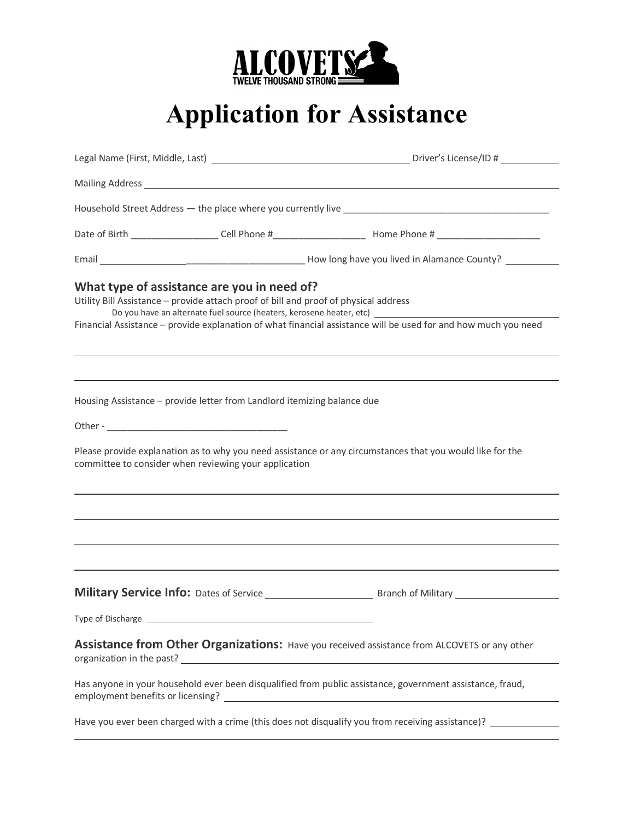

## **Application for Assistance**

| Mailing Address 1988 Communication of the Communication of the Communication of the Communication of the Communication of the Communication of the Communication of the Communication of the Communication of the Communicatio |
|--------------------------------------------------------------------------------------------------------------------------------------------------------------------------------------------------------------------------------|
|                                                                                                                                                                                                                                |
|                                                                                                                                                                                                                                |
|                                                                                                                                                                                                                                |
| Utility Bill Assistance - provide attach proof of bill and proof of physical address<br>Financial Assistance - provide explanation of what financial assistance will be used for and how much you need                         |
| ,我们也不能在这里的时候,我们也不能在这里的时候,我们也不能会在这里的时候,我们也不能会在这里的时候,我们也不能会在这里的时候,我们也不能会在这里的时候,我们也不<br>Housing Assistance - provide letter from Landlord itemizing balance due                                                                   |
| Please provide explanation as to why you need assistance or any circumstances that you would like for the                                                                                                                      |
|                                                                                                                                                                                                                                |
|                                                                                                                                                                                                                                |
|                                                                                                                                                                                                                                |
|                                                                                                                                                                                                                                |
|                                                                                                                                                                                                                                |
| Assistance from Other Organizations: Have you received assistance from ALCOVETS or any other                                                                                                                                   |
| Has anyone in your household ever been disqualified from public assistance, government assistance, fraud,                                                                                                                      |
|                                                                                                                                                                                                                                |
|                                                                                                                                                                                                                                |